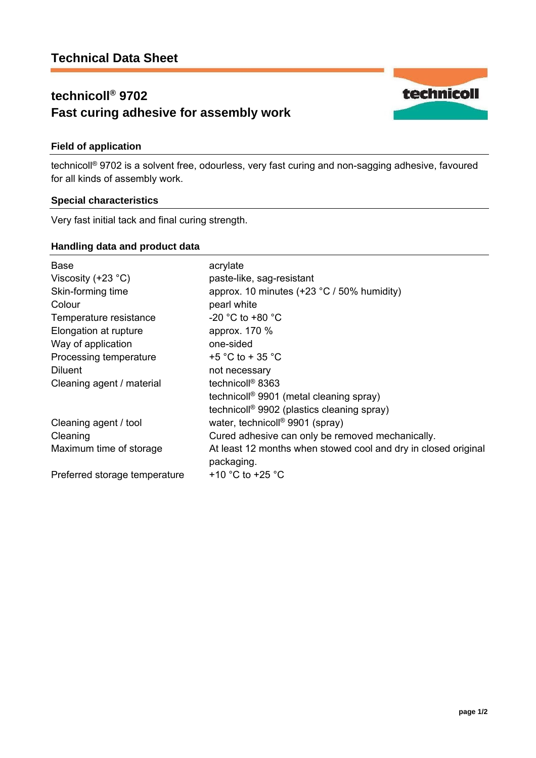# **technicoll® 9702 Fast curing adhesive for assembly work**

## **Field of application**

technicoll® 9702 is a solvent free, odourless, very fast curing and non-sagging adhesive, favoured for all kinds of assembly work.

### **Special characteristics**

Very fast initial tack and final curing strength.

### **Handling data and product data**

| <b>Base</b>                   | acrylate                                                                     |
|-------------------------------|------------------------------------------------------------------------------|
| Viscosity $(+23 °C)$          | paste-like, sag-resistant                                                    |
| Skin-forming time             | approx. 10 minutes $(+23 °C / 50\%$ humidity)                                |
| Colour                        | pearl white                                                                  |
| Temperature resistance        | -20 °C to +80 °C                                                             |
| Elongation at rupture         | approx. 170 %                                                                |
| Way of application            | one-sided                                                                    |
| Processing temperature        | +5 °C to + 35 °C                                                             |
| <b>Diluent</b>                | not necessary                                                                |
| Cleaning agent / material     | technicoll <sup>®</sup> 8363                                                 |
|                               | technicoll <sup>®</sup> 9901 (metal cleaning spray)                          |
|                               | technicoll <sup>®</sup> 9902 (plastics cleaning spray)                       |
| Cleaning agent / tool         | water, technicoll <sup>®</sup> 9901 (spray)                                  |
| Cleaning                      | Cured adhesive can only be removed mechanically.                             |
| Maximum time of storage       | At least 12 months when stowed cool and dry in closed original<br>packaging. |
| Preferred storage temperature | +10 $^{\circ}$ C to +25 $^{\circ}$ C                                         |